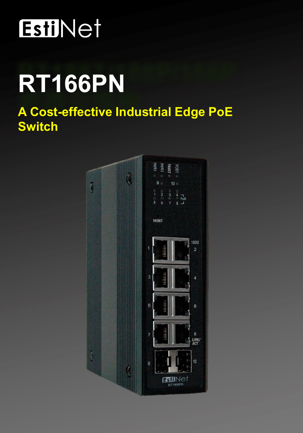# EstiNet

# RT166PN

## **A Cost-effective Industrial Edge PoE Switch**

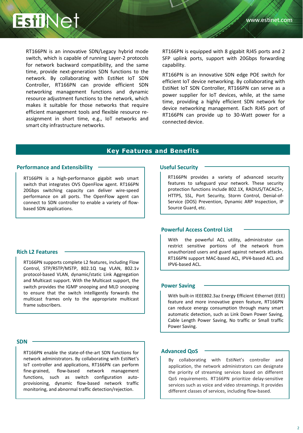

RT166PN is an innovative SDN/Legacy hybrid mode switch, which is capable of running Layer-2 protocols for network backward compatibility, and the same time, provide next-generation SDN functions to the network. By collaborating with EstiNet IoT SDN Controller, RT166PN can provide efficient SDN networking management functions and dynamic resource adjustment functions to the network, which makes it suitable for those networks that require efficient management tools and flexible resource reassignment in short time, e.g., IoT networks and smart city infrastructure networks.

RT166PN is equipped with 8 gigabit RJ45 ports and 2 SFP uplink ports, support with 20Gbps forwarding capability.

RT166PN is an innovative SDN edge POE switch for efficient IoT device networking. By collaborating with EstiNet IoT SDN Controller, RT166PN can serve as a power supplier for IoT devices, while, at the same time, providing a highly efficient SDN network for device networking management. Each RJ45 port of RT166PN can provide up to 30-Watt power for a connected device.

#### **Key Features and Benefits**

#### **Performance and Extensibility**

RT166PN is a high-performance gigabit web smart switch that integrates OVS OpenFlow agent. RT166PN 20Gbps switching capacity can deliver wire-speed performance on all ports. The OpenFlow agent can connect to SDN controller to enable a variety of flowbased SDN applications.

#### **Rich L2 Features**

RT166PN supports complete L2 features, including Flow Control, STP/RSTP/MSTP, 802.1Q tag VLAN, 802.1v protocol-based VLAN, dynamic/static Link Aggregation and Multicast support. With the Multicast support, the switch provides the IGMP snooping and MLD snooping to ensure that the switch intelligently forwards the multicast frames only to the appropriate multicast frame subscribers.

#### **SDN**

RT166PN enable the state-of-the-art SDN functions for network administrators. By collaborating with EstiNet's IoT controller and applications, RT166PN can perform fine-grained, flow-based network management functions, such as switch configuration autoprovisioning, dynamic flow-based network traffic monitoring, and abnormal traffic detection/rejection.

#### **Useful Security**

RT166PN provides a variety of advanced security features to safeguard your network. These security protection functions include 802.1X, RADIUS/TACACS+, HTTPS, SSL, Port Security, Storm Control, Denial-of-Service (DOS) Prevention, Dynamic ARP Inspection, IP Source Guard, etc.

#### **Powerful Access Control List**

With the powerful ACL utility, administrator can restrict sensitive portions of the network from unauthorized users and guard against network attacks. RT166PN support MAC-based ACL, IPV4-based ACL and IPV6-based ACL.

#### **Power Saving**

With built-in IEEE802.3az Energy Efficient Ethernet (EEE) feature and more innovative green feature, RT166PN can reduce energy consumption through many smart automatic detection, such as Link Down Power Saving, Cable Length Power Saving, No traffic or Small traffic Power Saving.

#### **Advanced QoS**

By collaborating with EstiNet's controller and application, the network administrators can designate the priority of streaming services based on different QoS requirements. RT166PN prioritize delay-sensitive services such as voice and video streamings. It provides different classes of services, including flow-based.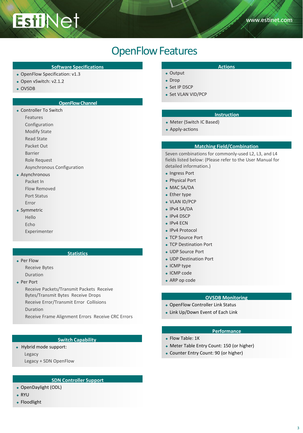## OpenFlow Features

#### **Software Specifications Actions Actions Actions**

• OpenFlow Specification: v1.3

**EstiNet** 

- ◆ Open vSwitch: v2.1.2
- ◆ OVSDB

#### **OpenFlow Channel**

- Controller To Switch
	- Features
	- Configuration
	- Modify State
	- Read State
	- Packet Out
	- Barrier
	- Role Request
	- Asynchronous Configuration
- Asynchronous
	- Packet In Flow Removed Port Status Error
- Symmetric
	- Hello
	- Echo
	- Experimenter

### **Statistics**

- ◆ Per Flow
	- Receive Bytes Duration
- ◆ Per Port

Receive Packets/Transmit Packets Receive Bytes/Transmit Bytes Receive Drops

Receive Error/Transmit Error Collisions

Duration

Receive Frame Alignment Errors Receive CRC Errors

#### **Switch Capability**

- Hybrid mode support: Legacy
	- Legacy + SDN OpenFlow

#### **SDN Controller Support**

- OpenDaylight (ODL)
- RYU
- ◆ Floodlight

- Output
- ◆ Drop
- ◆ Set IP DSCP
- Set VLAN VID/PCP

#### **Instruction**

- Meter (Switch IC Based)
- Apply-actions

#### **Matching Field/Combination**

Seven combinations for commonly-used L2, L3, and L4 fields listed below: (Please refer to the User Manual for detailed information.)

- Ingress Port
- Physical Port
- MAC SA/DA
- ◆ Ether type
- ◆ VLAN ID/PCP
- $\cdot$  IPv4 SA/DA
- ◆ IPv4 DSCP
- ◆ IPv4 ECN
- ◆ IPv4 Protocol
- TCP Source Port
- TCP Destination Port
- UDP Source Port
- UDP Destination Port
- ICMP type
- ◆ ICMP code
- ARP op code

## **OVSDB Monitoring**

- OpenFlow Controller Link Status
- Link Up/Down Event of Each Link

#### **Performance**

- ◆ Flow Table: 1K
- Meter Table Entry Count: 150 (or higher)
- Counter Entry Count: 90 (or higher)